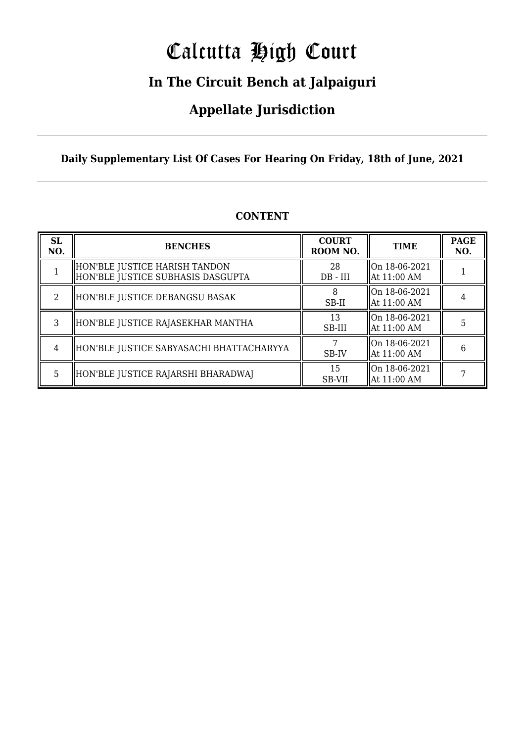# Calcutta High Court

### **In The Circuit Bench at Jalpaiguri**

### **Appellate Jurisdiction**

#### **Daily Supplementary List Of Cases For Hearing On Friday, 18th of June, 2021**

| <b>SL</b><br>NO. | <b>BENCHES</b>                                                     | <b>COURT</b><br>ROOM NO. | <b>TIME</b>                    | <b>PAGE</b><br>NO. |
|------------------|--------------------------------------------------------------------|--------------------------|--------------------------------|--------------------|
|                  | HON'BLE JUSTICE HARISH TANDON<br>HON'BLE JUSTICE SUBHASIS DASGUPTA | 28<br>$DB$ - $III$       | On 18-06-2021<br>  At 11:00 AM |                    |
|                  | HON'BLE JUSTICE DEBANGSU BASAK                                     | SB-II                    | On 18-06-2021<br>At 11:00 AM   |                    |
| 3                | HON'BLE JUSTICE RAJASEKHAR MANTHA                                  | 13<br>SB-III             | On 18-06-2021<br>  At 11:00 AM | 5                  |
| $\overline{4}$   | HON'BLE JUSTICE SABYASACHI BHATTACHARYYA                           | SB-IV                    | On 18-06-2021<br>  At 11:00 AM | 6                  |
| 5                | HON'BLE JUSTICE RAJARSHI BHARADWAJ                                 | 15<br><b>SB-VII</b>      | On 18-06-2021<br>  At 11:00 AM |                    |

#### **CONTENT**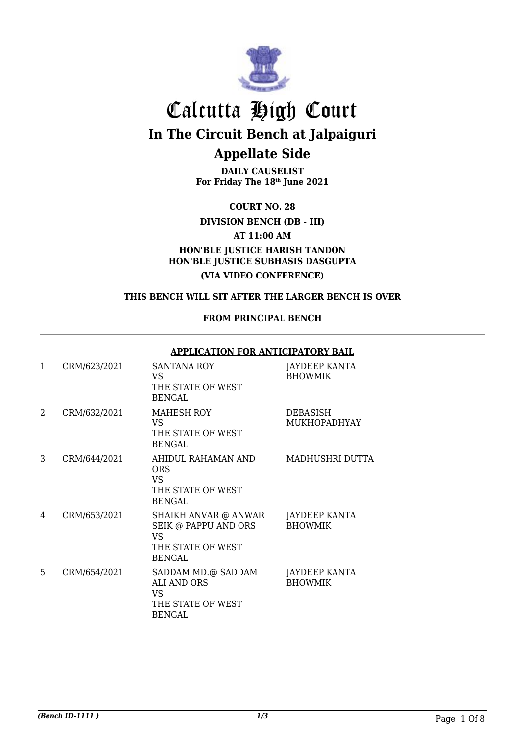

**DAILY CAUSELIST For Friday The 18th June 2021**

**COURT NO. 28**

**DIVISION BENCH (DB - III)**

**AT 11:00 AM**

**HON'BLE JUSTICE HARISH TANDON HON'BLE JUSTICE SUBHASIS DASGUPTA (VIA VIDEO CONFERENCE)**

#### **THIS BENCH WILL SIT AFTER THE LARGER BENCH IS OVER**

#### **FROM PRINCIPAL BENCH**

#### **APPLICATION FOR ANTICIPATORY BAIL**

| $\mathbf{1}$ | CRM/623/2021 | <b>SANTANA ROY</b><br>VS<br>THE STATE OF WEST<br><b>BENGAL</b>                                  | JAYDEEP KANTA<br><b>BHOWMIK</b> |
|--------------|--------------|-------------------------------------------------------------------------------------------------|---------------------------------|
| 2            | CRM/632/2021 | MAHESH ROY<br>VS<br>THE STATE OF WEST<br><b>BENGAL</b>                                          | DEBASISH<br>MUKHOPADHYAY        |
| 3            | CRM/644/2021 | AHIDUL RAHAMAN AND<br><b>ORS</b><br>VS.<br>THE STATE OF WEST<br><b>BENGAL</b>                   | MADHUSHRI DUTTA                 |
| 4            | CRM/653/2021 | SHAIKH ANVAR @ ANWAR<br>SEIK @ PAPPU AND ORS<br><b>VS</b><br>THE STATE OF WEST<br><b>BENGAL</b> | JAYDEEP KANTA<br><b>BHOWMIK</b> |
| 5            | CRM/654/2021 | SADDAM MD.@ SADDAM<br><b>ALI AND ORS</b><br>VS<br>THE STATE OF WEST<br><b>BENGAL</b>            | JAYDEEP KANTA<br><b>BHOWMIK</b> |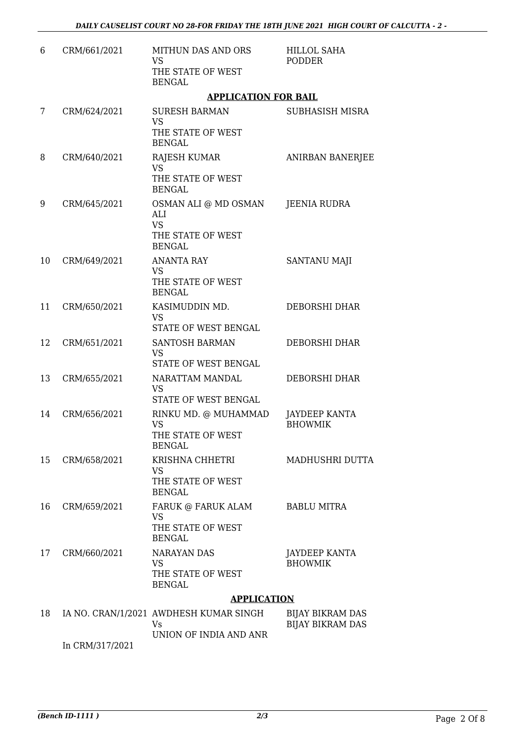| 6  | CRM/661/2021    | <b>MITHUN DAS AND ORS</b><br>VS<br>THE STATE OF WEST<br><b>BENGAL</b>          | <b>HILLOL SAHA</b><br>PODDER                       |  |
|----|-----------------|--------------------------------------------------------------------------------|----------------------------------------------------|--|
|    |                 | <b>APPLICATION FOR BAIL</b>                                                    |                                                    |  |
| 7  | CRM/624/2021    | <b>SURESH BARMAN</b><br><b>VS</b><br>THE STATE OF WEST<br><b>BENGAL</b>        | SUBHASISH MISRA                                    |  |
| 8  | CRM/640/2021    | <b>RAJESH KUMAR</b><br><b>VS</b><br>THE STATE OF WEST<br><b>BENGAL</b>         | <b>ANIRBAN BANERJEE</b>                            |  |
| 9  | CRM/645/2021    | OSMAN ALI @ MD OSMAN<br>ALI<br><b>VS</b><br>THE STATE OF WEST<br><b>BENGAL</b> | JEENIA RUDRA                                       |  |
| 10 | CRM/649/2021    | <b>ANANTA RAY</b><br><b>VS</b><br>THE STATE OF WEST<br><b>BENGAL</b>           | SANTANU MAJI                                       |  |
| 11 | CRM/650/2021    | KASIMUDDIN MD.<br><b>VS</b><br>STATE OF WEST BENGAL                            | DEBORSHI DHAR                                      |  |
| 12 | CRM/651/2021    | <b>SANTOSH BARMAN</b><br><b>VS</b><br>STATE OF WEST BENGAL                     | DEBORSHI DHAR                                      |  |
| 13 | CRM/655/2021    | NARATTAM MANDAL<br><b>VS</b><br>STATE OF WEST BENGAL                           | DEBORSHI DHAR                                      |  |
| 14 | CRM/656/2021    | RINKU MD. @ MUHAMMAD<br>VS<br>THE STATE OF WEST<br><b>BENGAL</b>               | JAYDEEP KANTA<br><b>BHOWMIK</b>                    |  |
| 15 | CRM/658/2021    | KRISHNA CHHETRI<br><b>VS</b><br>THE STATE OF WEST<br><b>BENGAL</b>             | MADHUSHRI DUTTA                                    |  |
| 16 | CRM/659/2021    | FARUK @ FARUK ALAM<br><b>VS</b><br>THE STATE OF WEST<br><b>BENGAL</b>          | <b>BABLU MITRA</b>                                 |  |
| 17 | CRM/660/2021    | <b>NARAYAN DAS</b><br><b>VS</b><br>THE STATE OF WEST<br><b>BENGAL</b>          | JAYDEEP KANTA<br><b>BHOWMIK</b>                    |  |
|    |                 | <b>APPLICATION</b>                                                             |                                                    |  |
| 18 | In CRM/317/2021 | IA NO. CRAN/1/2021 AWDHESH KUMAR SINGH<br>Vs<br>UNION OF INDIA AND ANR         | <b>BIJAY BIKRAM DAS</b><br><b>BIJAY BIKRAM DAS</b> |  |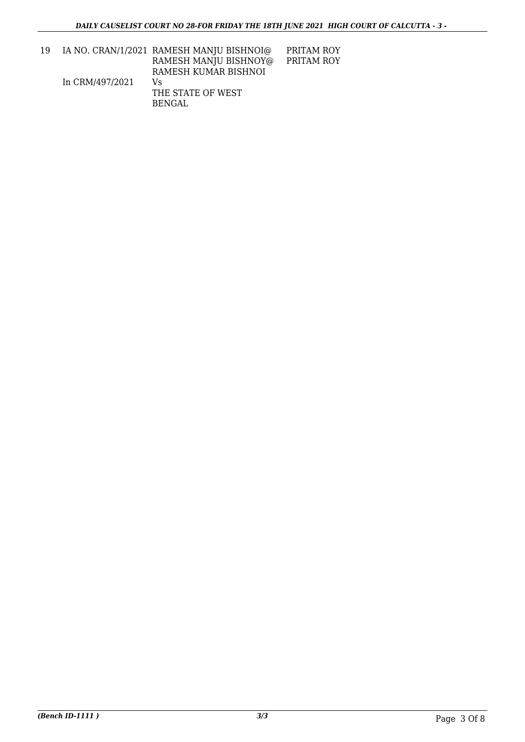| 19 |                 | IA NO. CRAN/1/2021 RAMESH MANJU BISHNOI@ | PRITAM ROY |
|----|-----------------|------------------------------------------|------------|
|    |                 | RAMESH MANJU BISHNOY@                    | PRITAM ROY |
|    |                 | RAMESH KUMAR BISHNOI                     |            |
|    | In CRM/497/2021 | Vs                                       |            |
|    |                 | THE STATE OF WEST                        |            |
|    |                 | BENGAL                                   |            |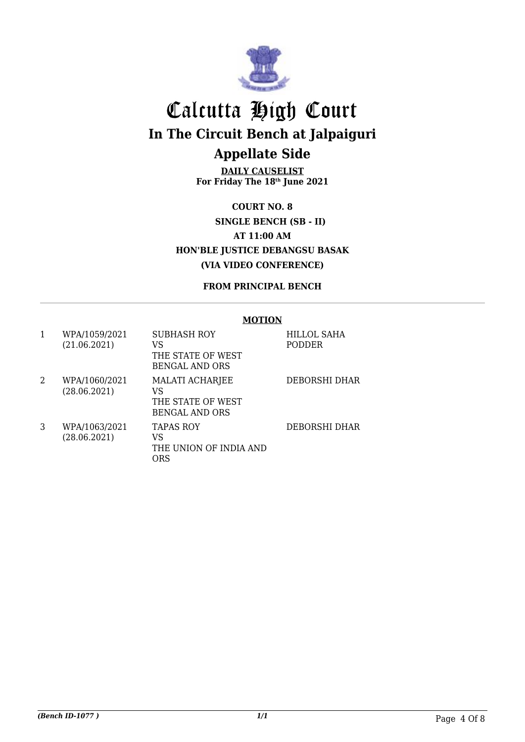

**DAILY CAUSELIST For Friday The 18th June 2021**

**COURT NO. 8 SINGLE BENCH (SB - II) AT 11:00 AM HON'BLE JUSTICE DEBANGSU BASAK (VIA VIDEO CONFERENCE)**

#### **FROM PRINCIPAL BENCH**

#### **MOTION**

| 1 | WPA/1059/2021<br>(21.06.2021) | SUBHASH ROY<br>VS<br>THE STATE OF WEST<br><b>BENGAL AND ORS</b>            | <b>HILLOL SAHA</b><br><b>PODDER</b> |
|---|-------------------------------|----------------------------------------------------------------------------|-------------------------------------|
| 2 | WPA/1060/2021<br>(28.06.2021) | <b>MALATI ACHARJEE</b><br>VS<br>THE STATE OF WEST<br><b>BENGAL AND ORS</b> | DEBORSHI DHAR                       |
| 3 | WPA/1063/2021<br>(28.06.2021) | <b>TAPAS ROY</b><br>VS<br>THE UNION OF INDIA AND<br>ORS                    | DEBORSHI DHAR                       |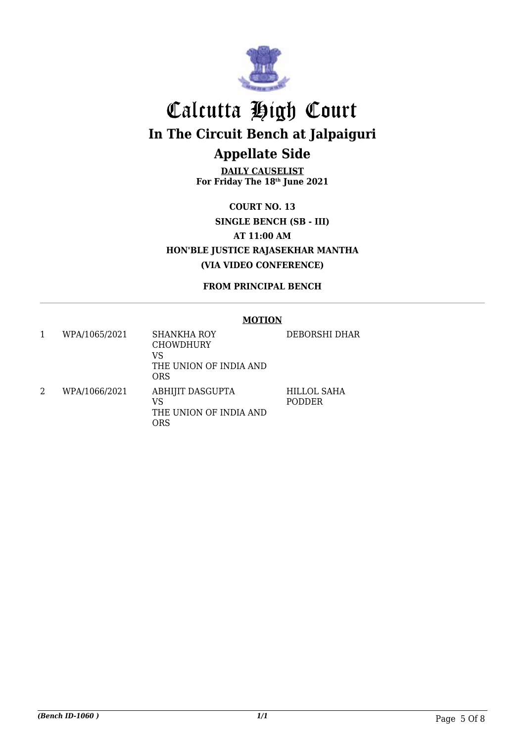

**DAILY CAUSELIST For Friday The 18th June 2021**

**COURT NO. 13 SINGLE BENCH (SB - III) AT 11:00 AM HON'BLE JUSTICE RAJASEKHAR MANTHA (VIA VIDEO CONFERENCE)**

**FROM PRINCIPAL BENCH**

#### **MOTION**

|   | WPA/1065/2021 | <b>SHANKHA ROY</b><br><b>CHOWDHURY</b><br>VS<br>THE UNION OF INDIA AND<br><b>ORS</b> | DEBORSHI DHAR                |
|---|---------------|--------------------------------------------------------------------------------------|------------------------------|
| 2 | WPA/1066/2021 | <b>ABHIJIT DASGUPTA</b><br>VS<br>THE UNION OF INDIA AND<br>ORS                       | HILLOL SAHA<br><b>PODDER</b> |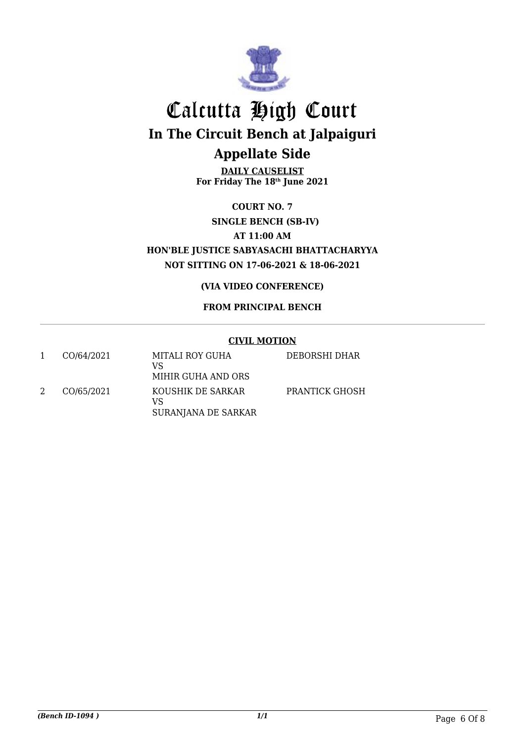

**DAILY CAUSELIST For Friday The 18th June 2021**

**COURT NO. 7 SINGLE BENCH (SB-IV) AT 11:00 AM HON'BLE JUSTICE SABYASACHI BHATTACHARYYA NOT SITTING ON 17-06-2021 & 18-06-2021**

**(VIA VIDEO CONFERENCE)**

#### **FROM PRINCIPAL BENCH**

#### **CIVIL MOTION**

| CO/64/2021 | MITALI ROY GUHA<br>VS<br>MIHIR GUHA AND ORS    | DEBORSHI DHAR  |
|------------|------------------------------------------------|----------------|
| CO/65/2021 | KOUSHIK DE SARKAR<br>VS<br>SURANJANA DE SARKAR | PRANTICK GHOSH |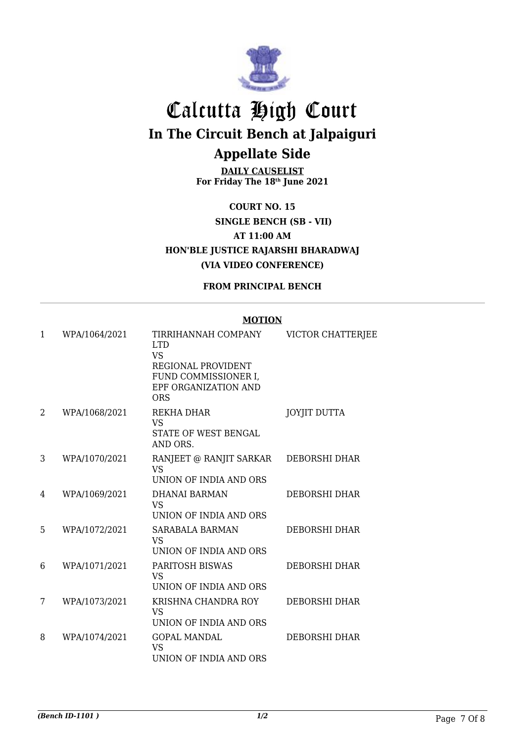

**DAILY CAUSELIST For Friday The 18th June 2021**

**COURT NO. 15 SINGLE BENCH (SB - VII) AT 11:00 AM HON'BLE JUSTICE RAJARSHI BHARADWAJ (VIA VIDEO CONFERENCE)**

**FROM PRINCIPAL BENCH**

#### **MOTION**

| 1 | WPA/1064/2021 | TIRRIHANNAH COMPANY<br><b>LTD</b><br><b>VS</b>                            | VICTOR CHATTERJEE    |
|---|---------------|---------------------------------------------------------------------------|----------------------|
|   |               | REGIONAL PROVIDENT<br>FUND COMMISSIONER I,<br>EPF ORGANIZATION AND<br>ORS |                      |
| 2 | WPA/1068/2021 | REKHA DHAR<br><b>VS</b><br>STATE OF WEST BENGAL<br>AND ORS.               | <b>JOYJIT DUTTA</b>  |
| 3 | WPA/1070/2021 | RANJEET @ RANJIT SARKAR<br><b>VS</b><br>UNION OF INDIA AND ORS            | DEBORSHI DHAR        |
| 4 | WPA/1069/2021 | <b>DHANAI BARMAN</b><br><b>VS</b><br>UNION OF INDIA AND ORS               | <b>DEBORSHI DHAR</b> |
| 5 | WPA/1072/2021 | <b>SARABALA BARMAN</b><br><b>VS</b><br>UNION OF INDIA AND ORS             | <b>DEBORSHI DHAR</b> |
| 6 | WPA/1071/2021 | <b>PARITOSH BISWAS</b><br><b>VS</b><br>UNION OF INDIA AND ORS             | <b>DEBORSHI DHAR</b> |
| 7 | WPA/1073/2021 | KRISHNA CHANDRA ROY<br><b>VS</b><br>UNION OF INDIA AND ORS                | <b>DEBORSHI DHAR</b> |
| 8 | WPA/1074/2021 | <b>GOPAL MANDAL</b><br><b>VS</b><br>UNION OF INDIA AND ORS                | <b>DEBORSHI DHAR</b> |